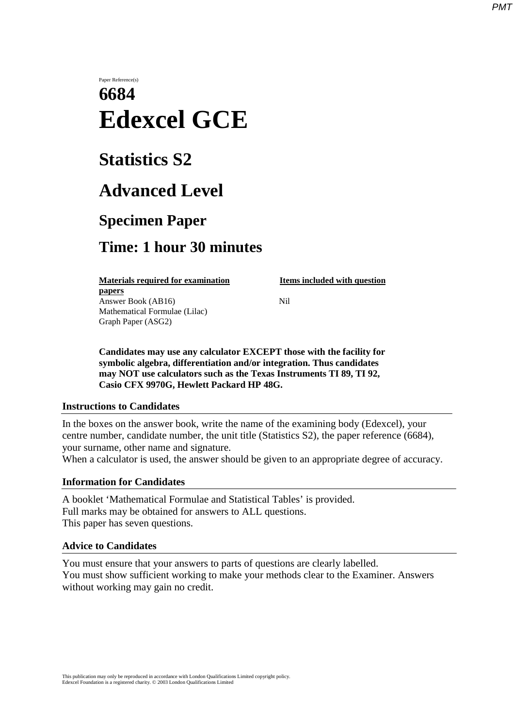### *PMT*

# Paper Reference(s) **6684 Edexcel GCE**

# **Statistics S2**

## **Advanced Level**

## **Specimen Paper**

### **Time: 1 hour 30 minutes**

**Materials required for examination Items included with question papers**

Answer Book (AB16) **Nil** Mathematical Formulae (Lilac) Graph Paper (ASG2)

**Candidates may use any calculator EXCEPT those with the facility for symbolic algebra, differentiation and/or integration. Thus candidates may NOT use calculators such as the Texas Instruments TI 89, TI 92, Casio CFX 9970G, Hewlett Packard HP 48G.**

### **Instructions to Candidates**

In the boxes on the answer book, write the name of the examining body (Edexcel), your centre number, candidate number, the unit title (Statistics S2), the paper reference (6684), your surname, other name and signature.

When a calculator is used, the answer should be given to an appropriate degree of accuracy.

### **Information for Candidates**

A booklet 'Mathematical Formulae and Statistical Tables' is provided. Full marks may be obtained for answers to ALL questions. This paper has seven questions.

### **Advice to Candidates**

You must ensure that your answers to parts of questions are clearly labelled. You must show sufficient working to make your methods clear to the Examiner. Answers without working may gain no credit.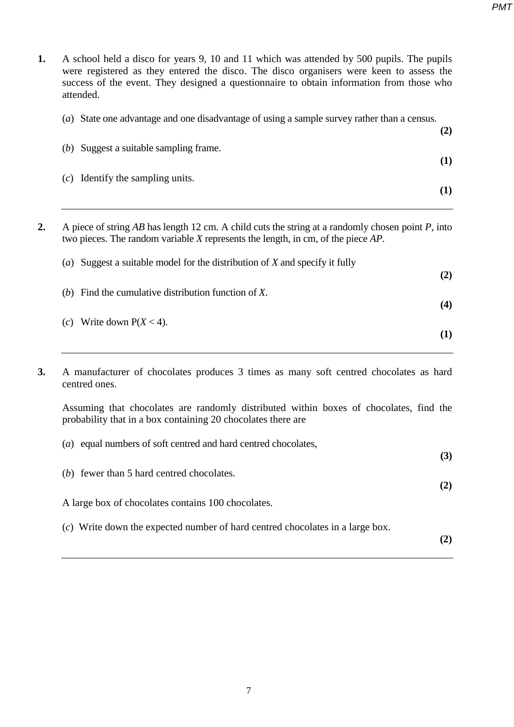| 1.                                                                                                                                                                                                  | A school held a disco for years 9, 10 and 11 which was attended by 500 pupils. The pupils<br>were registered as they entered the disco. The disco organisers were keen to assess the<br>success of the event. They designed a questionnaire to obtain information from those who<br>attended. |  |
|-----------------------------------------------------------------------------------------------------------------------------------------------------------------------------------------------------|-----------------------------------------------------------------------------------------------------------------------------------------------------------------------------------------------------------------------------------------------------------------------------------------------|--|
|                                                                                                                                                                                                     | (a) State one advantage and one disadvantage of using a sample survey rather than a census.<br>(2)                                                                                                                                                                                            |  |
|                                                                                                                                                                                                     | (b) Suggest a suitable sampling frame.<br>(1)                                                                                                                                                                                                                                                 |  |
|                                                                                                                                                                                                     | Identify the sampling units.<br>(c)<br>(1)                                                                                                                                                                                                                                                    |  |
| A piece of string AB has length 12 cm. A child cuts the string at a randomly chosen point $P$ , into<br>2.<br>two pieces. The random variable $X$ represents the length, in cm, of the piece $AP$ . |                                                                                                                                                                                                                                                                                               |  |
|                                                                                                                                                                                                     | (a) Suggest a suitable model for the distribution of $X$ and specify it fully<br>(2)                                                                                                                                                                                                          |  |
|                                                                                                                                                                                                     | Find the cumulative distribution function of X.<br>(b)<br>(4)                                                                                                                                                                                                                                 |  |

| (c) Write down $P(X < 4)$ . |     |
|-----------------------------|-----|
|                             | (1) |

**3.** A manufacturer of chocolates produces 3 times as many soft centred chocolates as hard centred ones.

Assuming that chocolates are randomly distributed within boxes of chocolates, find the probability that in a box containing 20 chocolates there are

| equal numbers of soft centred and hard centred chocolates,<br>(a)               |     |
|---------------------------------------------------------------------------------|-----|
| (b) fewer than 5 hard centred chocolates.                                       | (3) |
| A large box of chocolates contains 100 chocolates.                              | (2) |
| $(c)$ Write down the expected number of hard centred chocolates in a large box. |     |
|                                                                                 |     |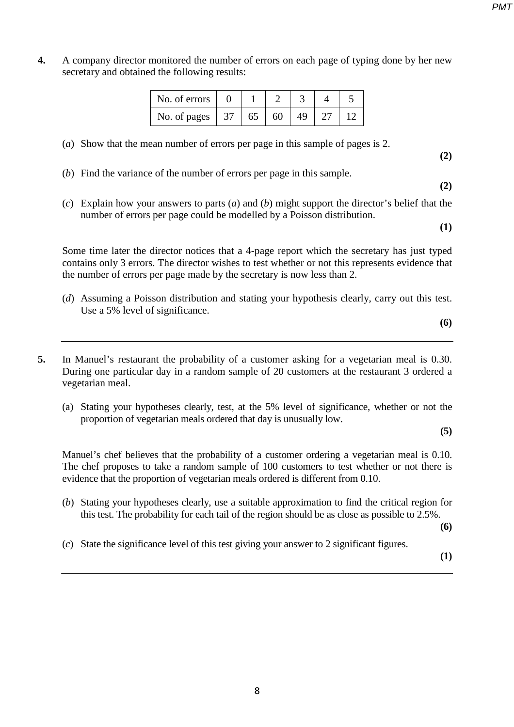- *PMT*
- **4.** A company director monitored the number of errors on each page of typing done by her new secretary and obtained the following results:

| No. of errors          |  |    |    |  |
|------------------------|--|----|----|--|
| No. of pages   37   65 |  | 60 | 49 |  |

- (*a*) Show that the mean number of errors per page in this sample of pages is 2.
- (*b*) Find the variance of the number of errors per page in this sample.
- (*c*) Explain how your answers to parts (*a*) and (*b*) might support the director's belief that the number of errors per page could be modelled by a Poisson distribution.

**(1)**

**(2)**

**(2)**

Some time later the director notices that a 4-page report which the secretary has just typed contains only 3 errors. The director wishes to test whether or not this represents evidence that the number of errors per page made by the secretary is now less than 2.

(*d*) Assuming a Poisson distribution and stating your hypothesis clearly, carry out this test. Use a 5% level of significance.

**(6)**

- **5.** In Manuel's restaurant the probability of a customer asking for a vegetarian meal is 0.30. During one particular day in a random sample of 20 customers at the restaurant 3 ordered a vegetarian meal.
	- (a) Stating your hypotheses clearly, test, at the 5% level of significance, whether or not the proportion of vegetarian meals ordered that day is unusually low.

**(5)**

Manuel's chef believes that the probability of a customer ordering a vegetarian meal is 0.10. The chef proposes to take a random sample of 100 customers to test whether or not there is evidence that the proportion of vegetarian meals ordered is different from 0.10.

(*b*) Stating your hypotheses clearly, use a suitable approximation to find the critical region for this test. The probability for each tail of the region should be as close as possible to 2.5%.

**(6)**

(*c*) State the significance level of this test giving your answer to 2 significant figures.

**(1)**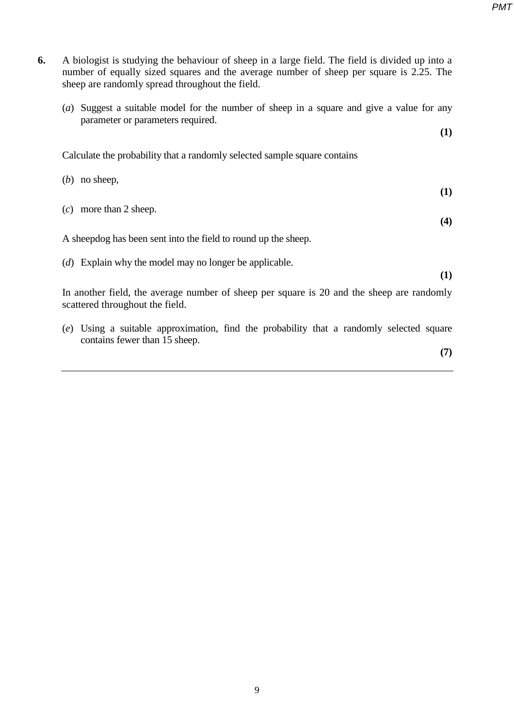*PMT*

| sheep are randomly spread throughout the field.                                                                                   |
|-----------------------------------------------------------------------------------------------------------------------------------|
| Suggest a suitable model for the number of sheep in a square and give a value for any<br>(a)<br>parameter or parameters required. |
| (1)                                                                                                                               |
| Calculate the probability that a randomly selected sample square contains                                                         |
| $(b)$ no sheep,<br>(1)                                                                                                            |
| $(c)$ more than 2 sheep.                                                                                                          |
| (4)                                                                                                                               |
| A sheep dog has been sent into the field to round up the sheep.                                                                   |
| (d) Explain why the model may no longer be applicable.<br>(1)                                                                     |
| In another field, the average number of sheep per square is 20 and the sheep are randomly<br>scattered throughout the field.      |
| Using a suitable approximation, find the probability that a randomly selected square<br>(e)<br>contains fewer than 15 sheep.      |
| (7)                                                                                                                               |
|                                                                                                                                   |

**6.** A biologist is studying the behaviour of sheep in a large field. The field is divided up into a

number of equally sized squares and the average number of sheep per square is 2.25. The